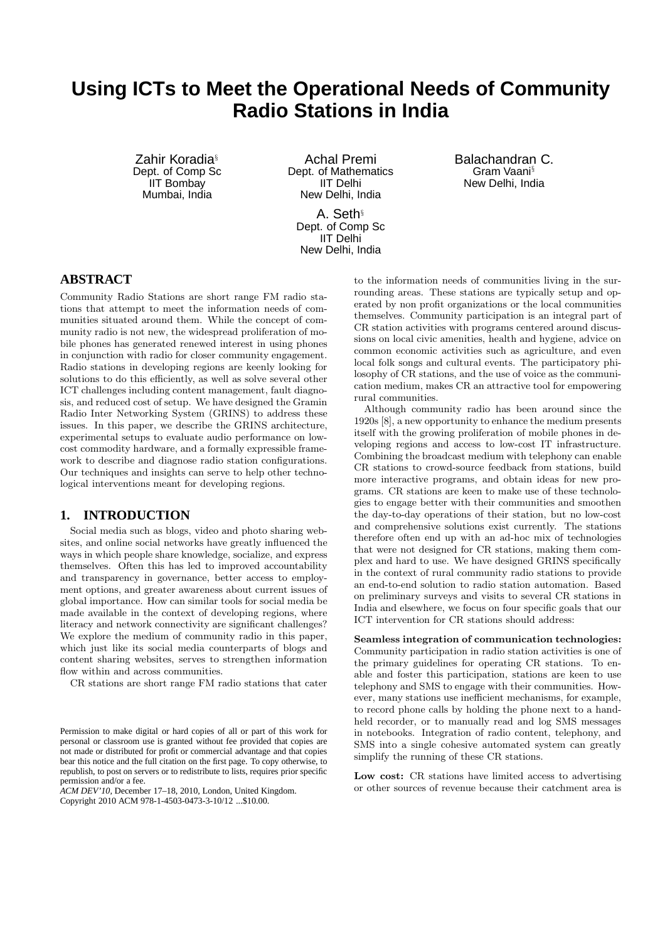# **Using ICTs to Meet the Operational Needs of Community Radio Stations in India**

Zahir Koradia§ Dept. of Comp Sc IIT Bombay Mumbai, India

Achal Premi Dept. of Mathematics IIT Delhi New Delhi, India

A. Seth§ Dept. of Comp Sc IIT Delhi New Delhi, India

Balachandran C. Gram Vaani§ New Delhi, India

# **ABSTRACT**

Community Radio Stations are short range FM radio stations that attempt to meet the information needs of communities situated around them. While the concept of community radio is not new, the widespread proliferation of mobile phones has generated renewed interest in using phones in conjunction with radio for closer community engagement. Radio stations in developing regions are keenly looking for solutions to do this efficiently, as well as solve several other ICT challenges including content management, fault diagnosis, and reduced cost of setup. We have designed the Gramin Radio Inter Networking System (GRINS) to address these issues. In this paper, we describe the GRINS architecture, experimental setups to evaluate audio performance on lowcost commodity hardware, and a formally expressible framework to describe and diagnose radio station configurations. Our techniques and insights can serve to help other technological interventions meant for developing regions.

#### **1. INTRODUCTION**

Social media such as blogs, video and photo sharing websites, and online social networks have greatly influenced the ways in which people share knowledge, socialize, and express themselves. Often this has led to improved accountability and transparency in governance, better access to employment options, and greater awareness about current issues of global importance. How can similar tools for social media be made available in the context of developing regions, where literacy and network connectivity are significant challenges? We explore the medium of community radio in this paper, which just like its social media counterparts of blogs and content sharing websites, serves to strengthen information flow within and across communities.

CR stations are short range FM radio stations that cater

*ACM DEV'10,* December 17–18, 2010, London, United Kingdom. Copyright 2010 ACM 978-1-4503-0473-3-10/12 ...\$10.00.

to the information needs of communities living in the surrounding areas. These stations are typically setup and operated by non profit organizations or the local communities themselves. Community participation is an integral part of CR station activities with programs centered around discussions on local civic amenities, health and hygiene, advice on common economic activities such as agriculture, and even local folk songs and cultural events. The participatory philosophy of CR stations, and the use of voice as the communication medium, makes CR an attractive tool for empowering rural communities.

Although community radio has been around since the 1920s [8], a new opportunity to enhance the medium presents itself with the growing proliferation of mobile phones in developing regions and access to low-cost IT infrastructure. Combining the broadcast medium with telephony can enable CR stations to crowd-source feedback from stations, build more interactive programs, and obtain ideas for new programs. CR stations are keen to make use of these technologies to engage better with their communities and smoothen the day-to-day operations of their station, but no low-cost and comprehensive solutions exist currently. The stations therefore often end up with an ad-hoc mix of technologies that were not designed for CR stations, making them complex and hard to use. We have designed GRINS specifically in the context of rural community radio stations to provide an end-to-end solution to radio station automation. Based on preliminary surveys and visits to several CR stations in India and elsewhere, we focus on four specific goals that our ICT intervention for CR stations should address:

Seamless integration of communication technologies: Community participation in radio station activities is one of the primary guidelines for operating CR stations. To enable and foster this participation, stations are keen to use telephony and SMS to engage with their communities. However, many stations use inefficient mechanisms, for example, to record phone calls by holding the phone next to a handheld recorder, or to manually read and log SMS messages in notebooks. Integration of radio content, telephony, and SMS into a single cohesive automated system can greatly simplify the running of these CR stations.

Low cost: CR stations have limited access to advertising or other sources of revenue because their catchment area is

Permission to make digital or hard copies of all or part of this work for personal or classroom use is granted without fee provided that copies are not made or distributed for profit or commercial advantage and that copies bear this notice and the full citation on the first page. To copy otherwise, to republish, to post on servers or to redistribute to lists, requires prior specific permission and/or a fee.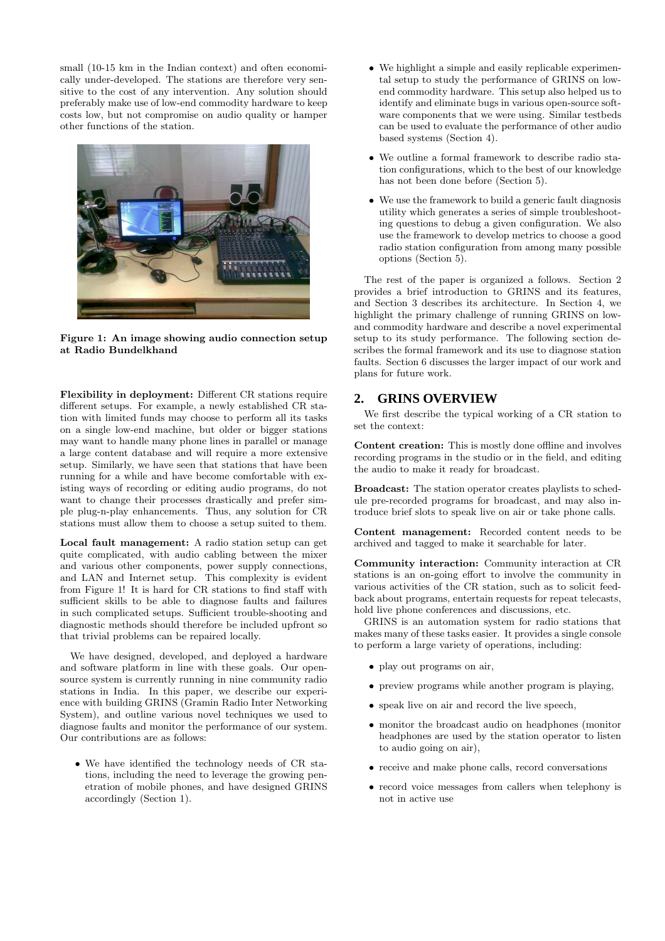small (10-15 km in the Indian context) and often economically under-developed. The stations are therefore very sensitive to the cost of any intervention. Any solution should preferably make use of low-end commodity hardware to keep costs low, but not compromise on audio quality or hamper other functions of the station.



Figure 1: An image showing audio connection setup at Radio Bundelkhand

Flexibility in deployment: Different CR stations require different setups. For example, a newly established CR station with limited funds may choose to perform all its tasks on a single low-end machine, but older or bigger stations may want to handle many phone lines in parallel or manage a large content database and will require a more extensive setup. Similarly, we have seen that stations that have been running for a while and have become comfortable with existing ways of recording or editing audio programs, do not want to change their processes drastically and prefer simple plug-n-play enhancements. Thus, any solution for CR stations must allow them to choose a setup suited to them.

Local fault management: A radio station setup can get quite complicated, with audio cabling between the mixer and various other components, power supply connections, and LAN and Internet setup. This complexity is evident from Figure 1! It is hard for CR stations to find staff with sufficient skills to be able to diagnose faults and failures in such complicated setups. Sufficient trouble-shooting and diagnostic methods should therefore be included upfront so that trivial problems can be repaired locally.

We have designed, developed, and deployed a hardware and software platform in line with these goals. Our opensource system is currently running in nine community radio stations in India. In this paper, we describe our experience with building GRINS (Gramin Radio Inter Networking System), and outline various novel techniques we used to diagnose faults and monitor the performance of our system. Our contributions are as follows:

• We have identified the technology needs of CR stations, including the need to leverage the growing penetration of mobile phones, and have designed GRINS accordingly (Section 1).

- We highlight a simple and easily replicable experimental setup to study the performance of GRINS on lowend commodity hardware. This setup also helped us to identify and eliminate bugs in various open-source software components that we were using. Similar testbeds can be used to evaluate the performance of other audio based systems (Section 4).
- We outline a formal framework to describe radio station configurations, which to the best of our knowledge has not been done before (Section 5).
- We use the framework to build a generic fault diagnosis utility which generates a series of simple troubleshooting questions to debug a given configuration. We also use the framework to develop metrics to choose a good radio station configuration from among many possible options (Section 5).

The rest of the paper is organized a follows. Section 2 provides a brief introduction to GRINS and its features, and Section 3 describes its architecture. In Section 4, we highlight the primary challenge of running GRINS on lowand commodity hardware and describe a novel experimental setup to its study performance. The following section describes the formal framework and its use to diagnose station faults. Section 6 discusses the larger impact of our work and plans for future work.

## **2. GRINS OVERVIEW**

We first describe the typical working of a CR station to set the context:

Content creation: This is mostly done offline and involves recording programs in the studio or in the field, and editing the audio to make it ready for broadcast.

Broadcast: The station operator creates playlists to schedule pre-recorded programs for broadcast, and may also introduce brief slots to speak live on air or take phone calls.

Content management: Recorded content needs to be archived and tagged to make it searchable for later.

Community interaction: Community interaction at CR stations is an on-going effort to involve the community in various activities of the CR station, such as to solicit feedback about programs, entertain requests for repeat telecasts, hold live phone conferences and discussions, etc.

GRINS is an automation system for radio stations that makes many of these tasks easier. It provides a single console to perform a large variety of operations, including:

- play out programs on air,
- preview programs while another program is playing,
- speak live on air and record the live speech.
- monitor the broadcast audio on headphones (monitor headphones are used by the station operator to listen to audio going on air),
- receive and make phone calls, record conversations
- record voice messages from callers when telephony is not in active use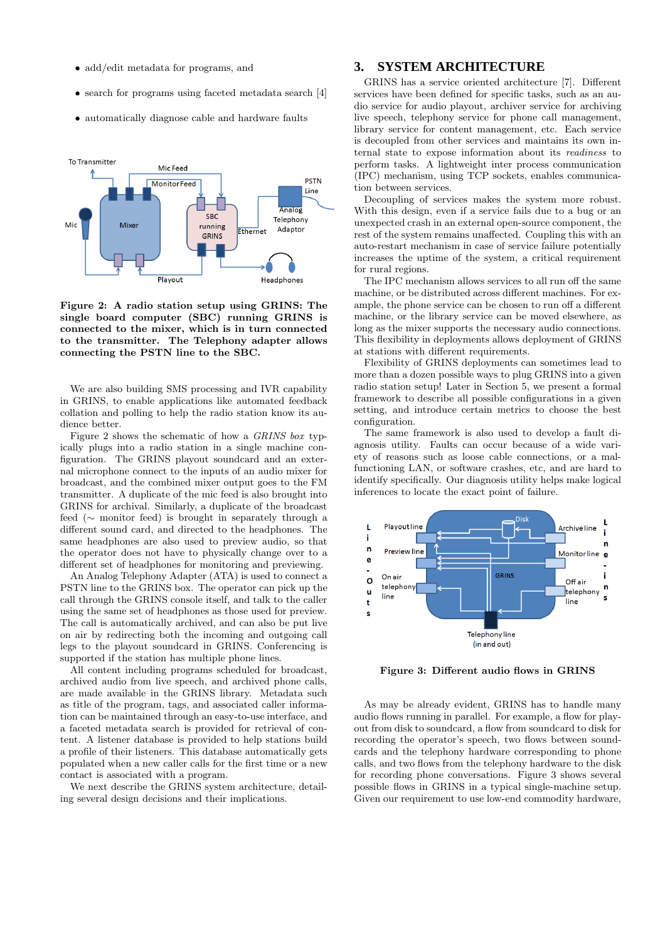- add/edit metadata for programs, and
- search for programs using faceted metadata search [4]
- automatically diagnose cable and hardware faults



Figure 2: A radio station setup using GRINS: The single board computer (SBC) running GRINS is connected to the mixer, which is in turn connected to the transmitter. The Telephony adapter allows connecting the PSTN line to the SBC.

We are also building SMS processing and IVR capability in GRINS, to enable applications like automated feedback collation and polling to help the radio station know its audience better.

Figure 2 shows the schematic of how a GRINS box typically plugs into a radio station in a single machine configuration. The GRINS playout soundcard and an external microphone connect to the inputs of an audio mixer for broadcast, and the combined mixer output goes to the FM transmitter. A duplicate of the mic feed is also brought into GRINS for archival. Similarly, a duplicate of the broadcast feed (∼ monitor feed) is brought in separately through a different sound card, and directed to the headphones. The same headphones are also used to preview audio, so that the operator does not have to physically change over to a different set of headphones for monitoring and previewing.

An Analog Telephony Adapter (ATA) is used to connect a PSTN line to the GRINS box. The operator can pick up the call through the GRINS console itself, and talk to the caller using the same set of headphones as those used for preview. The call is automatically archived, and can also be put live on air by redirecting both the incoming and outgoing call legs to the playout soundcard in GRINS. Conferencing is supported if the station has multiple phone lines.

All content including programs scheduled for broadcast, archived audio from live speech, and archived phone calls, are made available in the GRINS library. Metadata such as title of the program, tags, and associated caller information can be maintained through an easy-to-use interface, and a faceted metadata search is provided for retrieval of content. A listener database is provided to help stations build a profile of their listeners. This database automatically gets populated when a new caller calls for the first time or a new contact is associated with a program.

We next describe the GRINS system architecture, detailing several design decisions and their implications.

# **3. SYSTEM ARCHITECTURE**

GRINS has a service oriented architecture [7]. Different services have been defined for specific tasks, such as an audio service for audio playout, archiver service for archiving live speech, telephony service for phone call management, library service for content management, etc. Each service is decoupled from other services and maintains its own internal state to expose information about its readiness to perform tasks. A lightweight inter process communication (IPC) mechanism, using TCP sockets, enables communication between services.

Decoupling of services makes the system more robust. With this design, even if a service fails due to a bug or an unexpected crash in an external open-source component, the rest of the system remains unaffected. Coupling this with an auto-restart mechanism in case of service failure potentially increases the uptime of the system, a critical requirement for rural regions.

The IPC mechanism allows services to all run off the same machine, or be distributed across different machines. For example, the phone service can be chosen to run off a different machine, or the library service can be moved elsewhere, as long as the mixer supports the necessary audio connections. This flexibility in deployments allows deployment of GRINS at stations with different requirements.

Flexibility of GRINS deployments can sometimes lead to more than a dozen possible ways to plug GRINS into a given radio station setup! Later in Section 5, we present a formal framework to describe all possible configurations in a given setting, and introduce certain metrics to choose the best configuration.

The same framework is also used to develop a fault diagnosis utility. Faults can occur because of a wide variety of reasons such as loose cable connections, or a malfunctioning LAN, or software crashes, etc, and are hard to identify specifically. Our diagnosis utility helps make logical inferences to locate the exact point of failure.



Figure 3: Different audio flows in GRINS

As may be already evident, GRINS has to handle many audio flows running in parallel. For example, a flow for playout from disk to soundcard, a flow from soundcard to disk for recording the operator's speech, two flows between soundcards and the telephony hardware corresponding to phone calls, and two flows from the telephony hardware to the disk for recording phone conversations. Figure 3 shows several possible flows in GRINS in a typical single-machine setup. Given our requirement to use low-end commodity hardware,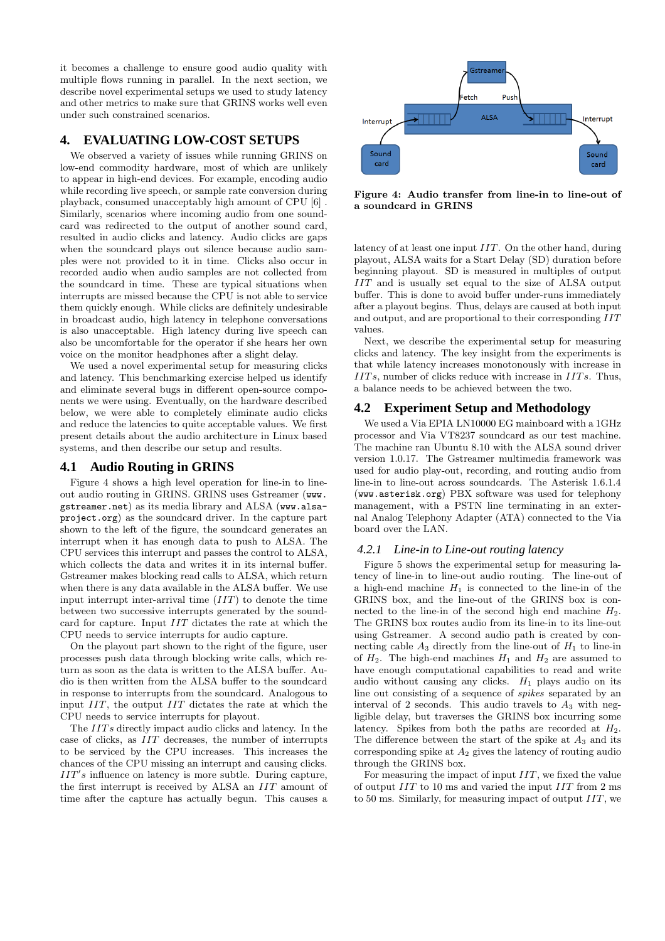it becomes a challenge to ensure good audio quality with multiple flows running in parallel. In the next section, we describe novel experimental setups we used to study latency and other metrics to make sure that GRINS works well even under such constrained scenarios.

## **4. EVALUATING LOW-COST SETUPS**

We observed a variety of issues while running GRINS on low-end commodity hardware, most of which are unlikely to appear in high-end devices. For example, encoding audio while recording live speech, or sample rate conversion during playback, consumed unacceptably high amount of CPU [6] . Similarly, scenarios where incoming audio from one soundcard was redirected to the output of another sound card, resulted in audio clicks and latency. Audio clicks are gaps when the soundcard plays out silence because audio samples were not provided to it in time. Clicks also occur in recorded audio when audio samples are not collected from the soundcard in time. These are typical situations when interrupts are missed because the CPU is not able to service them quickly enough. While clicks are definitely undesirable in broadcast audio, high latency in telephone conversations is also unacceptable. High latency during live speech can also be uncomfortable for the operator if she hears her own voice on the monitor headphones after a slight delay.

We used a novel experimental setup for measuring clicks and latency. This benchmarking exercise helped us identify and eliminate several bugs in different open-source components we were using. Eventually, on the hardware described below, we were able to completely eliminate audio clicks and reduce the latencies to quite acceptable values. We first present details about the audio architecture in Linux based systems, and then describe our setup and results.

# **4.1 Audio Routing in GRINS**

Figure 4 shows a high level operation for line-in to lineout audio routing in GRINS. GRINS uses Gstreamer (www. gstreamer.net) as its media library and ALSA (www.alsaproject.org) as the soundcard driver. In the capture part shown to the left of the figure, the soundcard generates an interrupt when it has enough data to push to ALSA. The CPU services this interrupt and passes the control to ALSA, which collects the data and writes it in its internal buffer. Gstreamer makes blocking read calls to ALSA, which return when there is any data available in the ALSA buffer. We use input interrupt inter-arrival time  $(III)$  to denote the time between two successive interrupts generated by the soundcard for capture. Input IIT dictates the rate at which the CPU needs to service interrupts for audio capture.

On the playout part shown to the right of the figure, user processes push data through blocking write calls, which return as soon as the data is written to the ALSA buffer. Audio is then written from the ALSA buffer to the soundcard in response to interrupts from the soundcard. Analogous to input  $IIT$ , the output  $IIT$  dictates the rate at which the CPU needs to service interrupts for playout.

The IITs directly impact audio clicks and latency. In the case of clicks, as IIT decreases, the number of interrupts to be serviced by the CPU increases. This increases the chances of the CPU missing an interrupt and causing clicks.  $IIT's$  influence on latency is more subtle. During capture, the first interrupt is received by ALSA an IIT amount of time after the capture has actually begun. This causes a



Figure 4: Audio transfer from line-in to line-out of a soundcard in GRINS

latency of at least one input IIT. On the other hand, during playout, ALSA waits for a Start Delay (SD) duration before beginning playout. SD is measured in multiples of output IIT and is usually set equal to the size of ALSA output buffer. This is done to avoid buffer under-runs immediately after a playout begins. Thus, delays are caused at both input and output, and are proportional to their corresponding IIT values.

Next, we describe the experimental setup for measuring clicks and latency. The key insight from the experiments is that while latency increases monotonously with increase in  $IITs$ , number of clicks reduce with increase in  $IITs$ . Thus, a balance needs to be achieved between the two.

# **4.2 Experiment Setup and Methodology**

We used a Via EPIA LN10000 EG mainboard with a 1GHz processor and Via VT8237 soundcard as our test machine. The machine ran Ubuntu 8.10 with the ALSA sound driver version 1.0.17. The Gstreamer multimedia framework was used for audio play-out, recording, and routing audio from line-in to line-out across soundcards. The Asterisk 1.6.1.4 (www.asterisk.org) PBX software was used for telephony management, with a PSTN line terminating in an external Analog Telephony Adapter (ATA) connected to the Via board over the LAN.

## *4.2.1 Line-in to Line-out routing latency*

Figure 5 shows the experimental setup for measuring latency of line-in to line-out audio routing. The line-out of a high-end machine  $H_1$  is connected to the line-in of the GRINS box, and the line-out of the GRINS box is connected to the line-in of the second high end machine  $H_2$ . The GRINS box routes audio from its line-in to its line-out using Gstreamer. A second audio path is created by connecting cable  $A_3$  directly from the line-out of  $H_1$  to line-in of  $H_2$ . The high-end machines  $H_1$  and  $H_2$  are assumed to have enough computational capabilities to read and write audio without causing any clicks.  $H_1$  plays audio on its line out consisting of a sequence of *spikes* separated by an interval of 2 seconds. This audio travels to  $A_3$  with negligible delay, but traverses the GRINS box incurring some latency. Spikes from both the paths are recorded at  $H_2$ . The difference between the start of the spike at  $A_3$  and its corresponding spike at  $A_2$  gives the latency of routing audio through the GRINS box.

For measuring the impact of input  $IIT$ , we fixed the value of output  $IIT$  to 10 ms and varied the input  $IIT$  from 2 ms to 50 ms. Similarly, for measuring impact of output  $III$ , we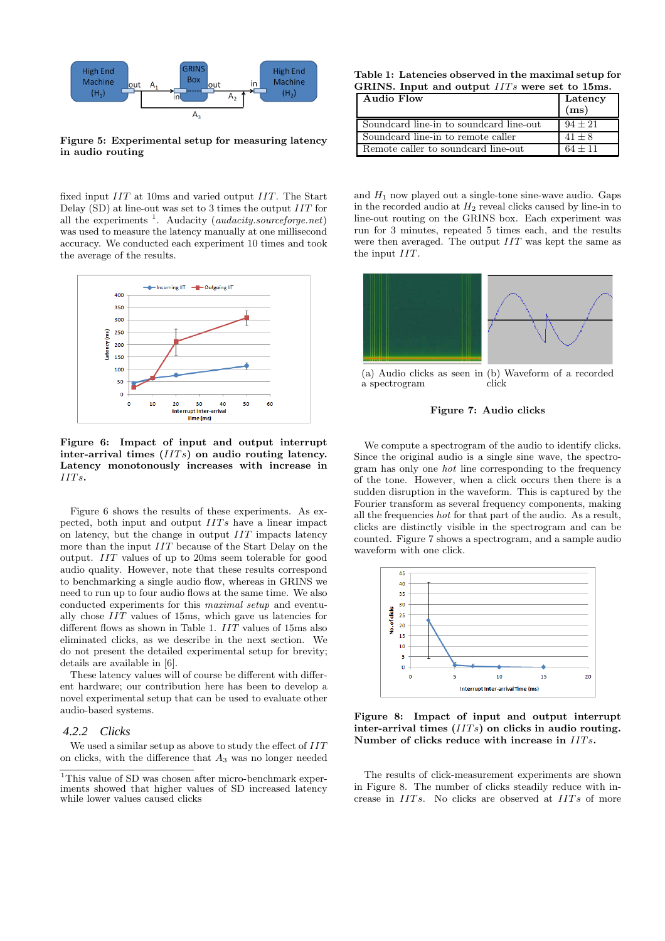

Figure 5: Experimental setup for measuring latency in audio routing

fixed input  $IIT$  at 10ms and varied output  $IIT$ . The Start Delay (SD) at line-out was set to 3 times the output IIT for all the experiments <sup>1</sup>. Audacity (audacity.sourceforge.net) was used to measure the latency manually at one millisecond accuracy. We conducted each experiment 10 times and took the average of the results.



Figure 6: Impact of input and output interrupt inter-arrival times  $(IIIs)$  on audio routing latency. Latency monotonously increases with increase in  $IITs.$ 

Figure 6 shows the results of these experiments. As expected, both input and output  $IITs$  have a linear impact on latency, but the change in output  $IIT$  impacts latency more than the input IIT because of the Start Delay on the output. IIT values of up to 20ms seem tolerable for good audio quality. However, note that these results correspond to benchmarking a single audio flow, whereas in GRINS we need to run up to four audio flows at the same time. We also conducted experiments for this maximal setup and eventually chose IIT values of 15ms, which gave us latencies for different flows as shown in Table 1. IIT values of 15ms also eliminated clicks, as we describe in the next section. We do not present the detailed experimental setup for brevity; details are available in [6].

These latency values will of course be different with different hardware; our contribution here has been to develop a novel experimental setup that can be used to evaluate other audio-based systems.

#### *4.2.2 Clicks*

We used a similar setup as above to study the effect of  $IIT$ on clicks, with the difference that  $A_3$  was no longer needed

Table 1: Latencies observed in the maximal setup for GRINS. Input and output  $IITs$  were set to 15ms.

| <b>Audio Flow</b>                       | Latency<br>(ms) |
|-----------------------------------------|-----------------|
| Soundcard line-in to soundcard line-out | $94 + 21$       |
| Soundcard line-in to remote caller      | $41 + 8$        |
| Remote caller to soundcard line-out     | $64 + 11$       |

and  $H_1$  now played out a single-tone sine-wave audio. Gaps in the recorded audio at  $H_2$  reveal clicks caused by line-in to line-out routing on the GRINS box. Each experiment was run for 3 minutes, repeated 5 times each, and the results were then averaged. The output IIT was kept the same as the input  $IIT$ .



(a) Audio clicks as seen in (b) Waveform of a recorded a spectrogram click

#### Figure 7: Audio clicks

We compute a spectrogram of the audio to identify clicks. Since the original audio is a single sine wave, the spectrogram has only one hot line corresponding to the frequency of the tone. However, when a click occurs then there is a sudden disruption in the waveform. This is captured by the Fourier transform as several frequency components, making all the frequencies hot for that part of the audio. As a result, clicks are distinctly visible in the spectrogram and can be counted. Figure 7 shows a spectrogram, and a sample audio waveform with one click.



Figure 8: Impact of input and output interrupt inter-arrival times  $(IIIs)$  on clicks in audio routing. Number of clicks reduce with increase in  $IITs$ .

The results of click-measurement experiments are shown in Figure 8. The number of clicks steadily reduce with increase in IITs. No clicks are observed at IITs of more

<sup>&</sup>lt;sup>1</sup>This value of SD was chosen after micro-benchmark experiments showed that higher values of SD increased latency while lower values caused clicks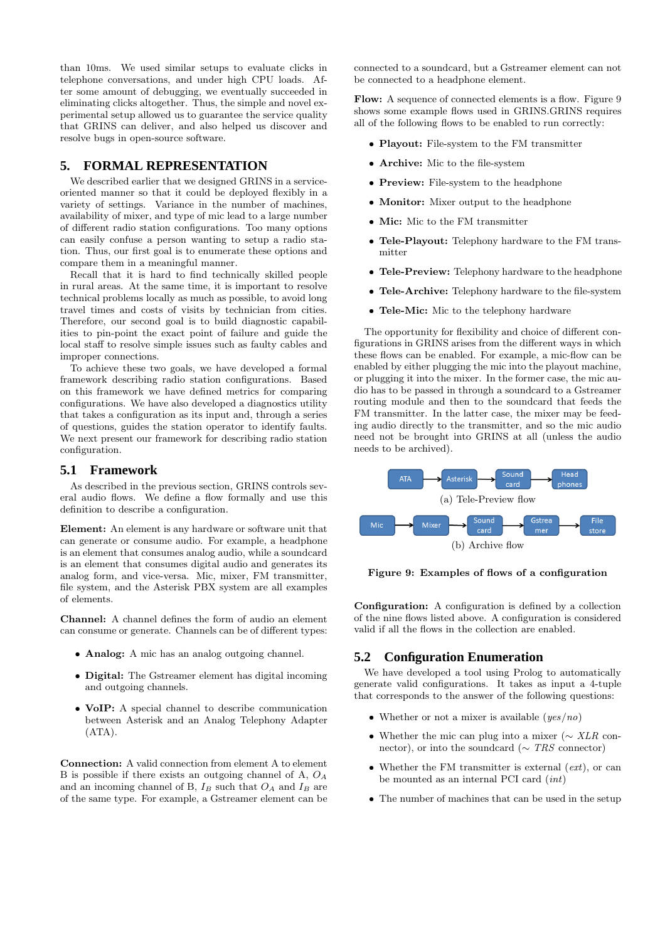than 10ms. We used similar setups to evaluate clicks in telephone conversations, and under high CPU loads. After some amount of debugging, we eventually succeeded in eliminating clicks altogether. Thus, the simple and novel experimental setup allowed us to guarantee the service quality that GRINS can deliver, and also helped us discover and resolve bugs in open-source software.

# **5. FORMAL REPRESENTATION**

We described earlier that we designed GRINS in a serviceoriented manner so that it could be deployed flexibly in a variety of settings. Variance in the number of machines, availability of mixer, and type of mic lead to a large number of different radio station configurations. Too many options can easily confuse a person wanting to setup a radio station. Thus, our first goal is to enumerate these options and compare them in a meaningful manner.

Recall that it is hard to find technically skilled people in rural areas. At the same time, it is important to resolve technical problems locally as much as possible, to avoid long travel times and costs of visits by technician from cities. Therefore, our second goal is to build diagnostic capabilities to pin-point the exact point of failure and guide the local staff to resolve simple issues such as faulty cables and improper connections.

To achieve these two goals, we have developed a formal framework describing radio station configurations. Based on this framework we have defined metrics for comparing configurations. We have also developed a diagnostics utility that takes a configuration as its input and, through a series of questions, guides the station operator to identify faults. We next present our framework for describing radio station configuration.

#### **5.1 Framework**

As described in the previous section, GRINS controls several audio flows. We define a flow formally and use this definition to describe a configuration.

Element: An element is any hardware or software unit that can generate or consume audio. For example, a headphone is an element that consumes analog audio, while a soundcard is an element that consumes digital audio and generates its analog form, and vice-versa. Mic, mixer, FM transmitter, file system, and the Asterisk PBX system are all examples of elements.

Channel: A channel defines the form of audio an element can consume or generate. Channels can be of different types:

- Analog: A mic has an analog outgoing channel.
- Digital: The Gstreamer element has digital incoming and outgoing channels.
- VoIP: A special channel to describe communication between Asterisk and an Analog Telephony Adapter (ATA).

Connection: A valid connection from element A to element B is possible if there exists an outgoing channel of A, O<sup>A</sup> and an incoming channel of B,  $I_B$  such that  $O_A$  and  $I_B$  are of the same type. For example, a Gstreamer element can be connected to a soundcard, but a Gstreamer element can not be connected to a headphone element.

Flow: A sequence of connected elements is a flow. Figure 9 shows some example flows used in GRINS.GRINS requires all of the following flows to be enabled to run correctly:

- Playout: File-system to the FM transmitter
- Archive: Mic to the file-system
- Preview: File-system to the headphone
- Monitor: Mixer output to the headphone
- Mic: Mic to the FM transmitter
- Tele-Playout: Telephony hardware to the FM transmitter
- Tele-Preview: Telephony hardware to the headphone
- Tele-Archive: Telephony hardware to the file-system
- Tele-Mic: Mic to the telephony hardware

The opportunity for flexibility and choice of different configurations in GRINS arises from the different ways in which these flows can be enabled. For example, a mic-flow can be enabled by either plugging the mic into the playout machine, or plugging it into the mixer. In the former case, the mic audio has to be passed in through a soundcard to a Gstreamer routing module and then to the soundcard that feeds the FM transmitter. In the latter case, the mixer may be feeding audio directly to the transmitter, and so the mic audio need not be brought into GRINS at all (unless the audio needs to be archived).



Figure 9: Examples of flows of a configuration

Configuration: A configuration is defined by a collection of the nine flows listed above. A configuration is considered valid if all the flows in the collection are enabled.

# **5.2 Configuration Enumeration**

We have developed a tool using Prolog to automatically generate valid configurations. It takes as input a 4-tuple that corresponds to the answer of the following questions:

- Whether or not a mixer is available  $(yes/no)$
- Whether the mic can plug into a mixer ( $\sim XLR$  connector), or into the soundcard ( $\sim$  TRS connector)
- Whether the FM transmitter is external  $ext{ext}$ , or can be mounted as an internal PCI card (int)
- The number of machines that can be used in the setup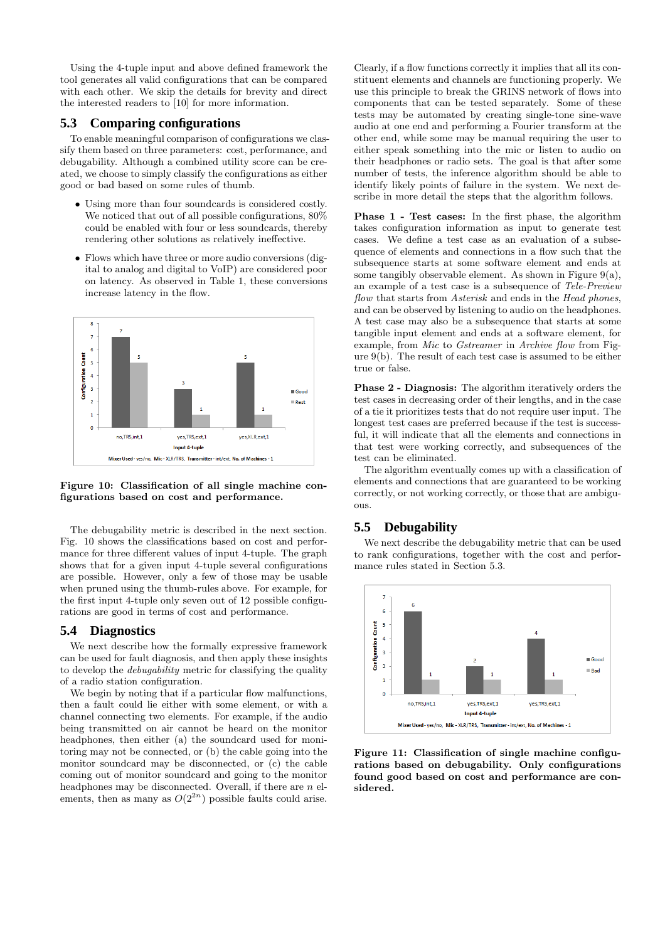Using the 4-tuple input and above defined framework the tool generates all valid configurations that can be compared with each other. We skip the details for brevity and direct the interested readers to [10] for more information.

#### **5.3 Comparing configurations**

To enable meaningful comparison of configurations we classify them based on three parameters: cost, performance, and debugability. Although a combined utility score can be created, we choose to simply classify the configurations as either good or bad based on some rules of thumb.

- Using more than four soundcards is considered costly. We noticed that out of all possible configurations, 80% could be enabled with four or less soundcards, thereby rendering other solutions as relatively ineffective.
- Flows which have three or more audio conversions (digital to analog and digital to VoIP) are considered poor on latency. As observed in Table 1, these conversions increase latency in the flow.



Figure 10: Classification of all single machine configurations based on cost and performance.

The debugability metric is described in the next section. Fig. 10 shows the classifications based on cost and performance for three different values of input 4-tuple. The graph shows that for a given input 4-tuple several configurations are possible. However, only a few of those may be usable when pruned using the thumb-rules above. For example, for the first input 4-tuple only seven out of 12 possible configurations are good in terms of cost and performance.

#### **5.4 Diagnostics**

We next describe how the formally expressive framework can be used for fault diagnosis, and then apply these insights to develop the debugability metric for classifying the quality of a radio station configuration.

We begin by noting that if a particular flow malfunctions. then a fault could lie either with some element, or with a channel connecting two elements. For example, if the audio being transmitted on air cannot be heard on the monitor headphones, then either (a) the soundcard used for monitoring may not be connected, or (b) the cable going into the monitor soundcard may be disconnected, or (c) the cable coming out of monitor soundcard and going to the monitor headphones may be disconnected. Overall, if there are  $n$  elements, then as many as  $O(2^{2n})$  possible faults could arise.

Clearly, if a flow functions correctly it implies that all its constituent elements and channels are functioning properly. We use this principle to break the GRINS network of flows into components that can be tested separately. Some of these tests may be automated by creating single-tone sine-wave audio at one end and performing a Fourier transform at the other end, while some may be manual requiring the user to either speak something into the mic or listen to audio on their headphones or radio sets. The goal is that after some number of tests, the inference algorithm should be able to identify likely points of failure in the system. We next describe in more detail the steps that the algorithm follows.

Phase 1 - Test cases: In the first phase, the algorithm takes configuration information as input to generate test cases. We define a test case as an evaluation of a subsequence of elements and connections in a flow such that the subsequence starts at some software element and ends at some tangibly observable element. As shown in Figure 9(a), an example of a test case is a subsequence of Tele-Preview flow that starts from Asterisk and ends in the Head phones, and can be observed by listening to audio on the headphones. A test case may also be a subsequence that starts at some tangible input element and ends at a software element, for example, from Mic to Gstreamer in Archive flow from Figure 9(b). The result of each test case is assumed to be either true or false.

Phase 2 - Diagnosis: The algorithm iteratively orders the test cases in decreasing order of their lengths, and in the case of a tie it prioritizes tests that do not require user input. The longest test cases are preferred because if the test is successful, it will indicate that all the elements and connections in that test were working correctly, and subsequences of the test can be eliminated.

The algorithm eventually comes up with a classification of elements and connections that are guaranteed to be working correctly, or not working correctly, or those that are ambiguous.

## **5.5 Debugability**

We next describe the debugability metric that can be used to rank configurations, together with the cost and performance rules stated in Section 5.3.



Figure 11: Classification of single machine configurations based on debugability. Only configurations found good based on cost and performance are considered.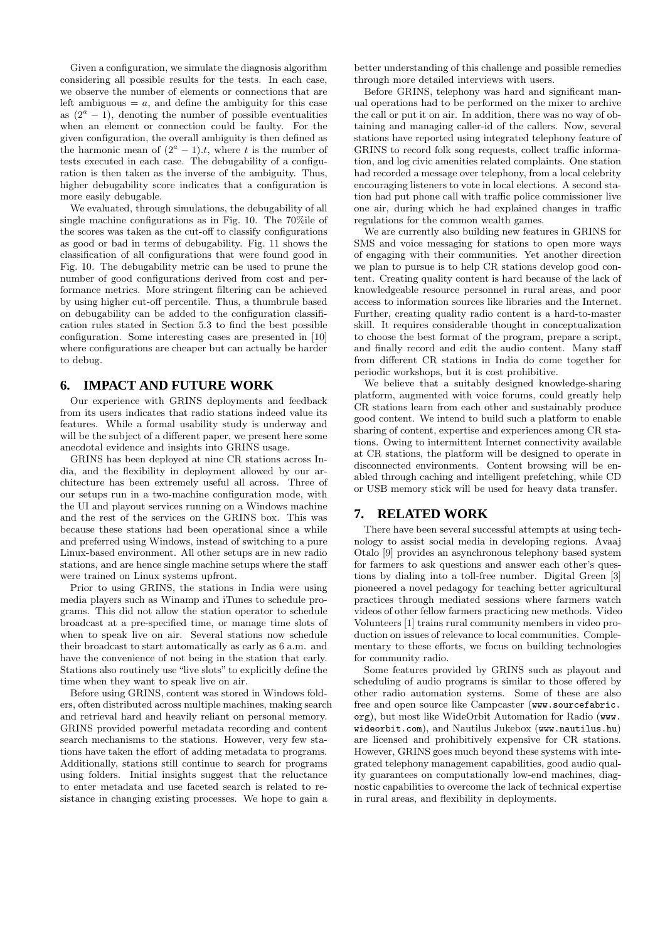Given a configuration, we simulate the diagnosis algorithm considering all possible results for the tests. In each case, we observe the number of elements or connections that are left ambiguous  $= a$ , and define the ambiguity for this case as  $(2<sup>a</sup> - 1)$ , denoting the number of possible eventualities when an element or connection could be faulty. For the given configuration, the overall ambiguity is then defined as the harmonic mean of  $(2<sup>a</sup> - 1)t$ , where t is the number of tests executed in each case. The debugability of a configuration is then taken as the inverse of the ambiguity. Thus, higher debugability score indicates that a configuration is more easily debugable.

We evaluated, through simulations, the debugability of all single machine configurations as in Fig. 10. The 70%ile of the scores was taken as the cut-off to classify configurations as good or bad in terms of debugability. Fig. 11 shows the classification of all configurations that were found good in Fig. 10. The debugability metric can be used to prune the number of good configurations derived from cost and performance metrics. More stringent filtering can be achieved by using higher cut-off percentile. Thus, a thumbrule based on debugability can be added to the configuration classification rules stated in Section 5.3 to find the best possible configuration. Some interesting cases are presented in [10] where configurations are cheaper but can actually be harder to debug.

## **6. IMPACT AND FUTURE WORK**

Our experience with GRINS deployments and feedback from its users indicates that radio stations indeed value its features. While a formal usability study is underway and will be the subject of a different paper, we present here some anecdotal evidence and insights into GRINS usage.

GRINS has been deployed at nine CR stations across India, and the flexibility in deployment allowed by our architecture has been extremely useful all across. Three of our setups run in a two-machine configuration mode, with the UI and playout services running on a Windows machine and the rest of the services on the GRINS box. This was because these stations had been operational since a while and preferred using Windows, instead of switching to a pure Linux-based environment. All other setups are in new radio stations, and are hence single machine setups where the staff were trained on Linux systems upfront.

Prior to using GRINS, the stations in India were using media players such as Winamp and iTunes to schedule programs. This did not allow the station operator to schedule broadcast at a pre-specified time, or manage time slots of when to speak live on air. Several stations now schedule their broadcast to start automatically as early as 6 a.m. and have the convenience of not being in the station that early. Stations also routinely use "live slots" to explicitly define the time when they want to speak live on air.

Before using GRINS, content was stored in Windows folders, often distributed across multiple machines, making search and retrieval hard and heavily reliant on personal memory. GRINS provided powerful metadata recording and content search mechanisms to the stations. However, very few stations have taken the effort of adding metadata to programs. Additionally, stations still continue to search for programs using folders. Initial insights suggest that the reluctance to enter metadata and use faceted search is related to resistance in changing existing processes. We hope to gain a

better understanding of this challenge and possible remedies through more detailed interviews with users.

Before GRINS, telephony was hard and significant manual operations had to be performed on the mixer to archive the call or put it on air. In addition, there was no way of obtaining and managing caller-id of the callers. Now, several stations have reported using integrated telephony feature of GRINS to record folk song requests, collect traffic information, and log civic amenities related complaints. One station had recorded a message over telephony, from a local celebrity encouraging listeners to vote in local elections. A second station had put phone call with traffic police commissioner live one air, during which he had explained changes in traffic regulations for the common wealth games.

We are currently also building new features in GRINS for SMS and voice messaging for stations to open more ways of engaging with their communities. Yet another direction we plan to pursue is to help CR stations develop good content. Creating quality content is hard because of the lack of knowledgeable resource personnel in rural areas, and poor access to information sources like libraries and the Internet. Further, creating quality radio content is a hard-to-master skill. It requires considerable thought in conceptualization to choose the best format of the program, prepare a script, and finally record and edit the audio content. Many staff from different CR stations in India do come together for periodic workshops, but it is cost prohibitive.

We believe that a suitably designed knowledge-sharing platform, augmented with voice forums, could greatly help CR stations learn from each other and sustainably produce good content. We intend to build such a platform to enable sharing of content, expertise and experiences among CR stations. Owing to intermittent Internet connectivity available at CR stations, the platform will be designed to operate in disconnected environments. Content browsing will be enabled through caching and intelligent prefetching, while CD or USB memory stick will be used for heavy data transfer.

#### **7. RELATED WORK**

There have been several successful attempts at using technology to assist social media in developing regions. Avaaj Otalo [9] provides an asynchronous telephony based system for farmers to ask questions and answer each other's questions by dialing into a toll-free number. Digital Green [3] pioneered a novel pedagogy for teaching better agricultural practices through mediated sessions where farmers watch videos of other fellow farmers practicing new methods. Video Volunteers [1] trains rural community members in video production on issues of relevance to local communities. Complementary to these efforts, we focus on building technologies for community radio.

Some features provided by GRINS such as playout and scheduling of audio programs is similar to those offered by other radio automation systems. Some of these are also free and open source like Campcaster (www.sourcefabric. org), but most like WideOrbit Automation for Radio (www. wideorbit.com), and Nautilus Jukebox (www.nautilus.hu) are licensed and prohibitively expensive for CR stations. However, GRINS goes much beyond these systems with integrated telephony management capabilities, good audio quality guarantees on computationally low-end machines, diagnostic capabilities to overcome the lack of technical expertise in rural areas, and flexibility in deployments.